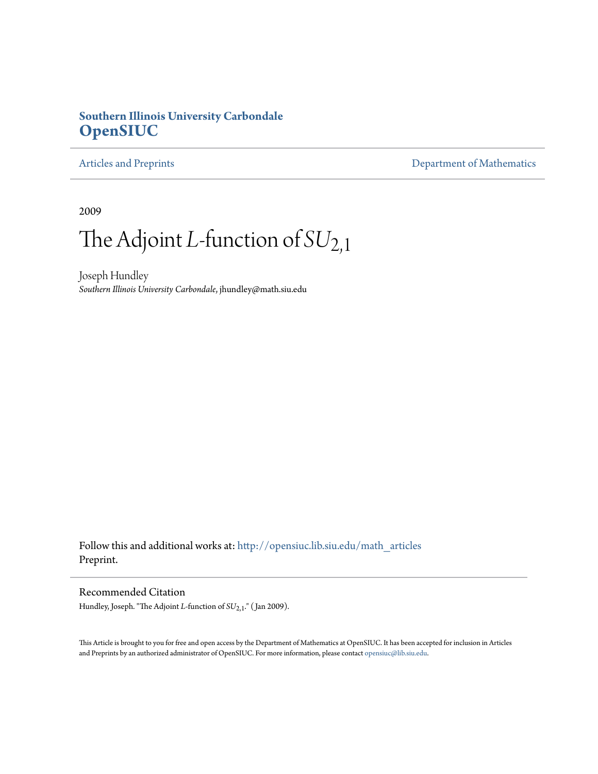### **Southern Illinois University Carbondale [OpenSIUC](http://opensiuc.lib.siu.edu?utm_source=opensiuc.lib.siu.edu%2Fmath_articles%2F97&utm_medium=PDF&utm_campaign=PDFCoverPages)**

### [Articles and Preprints](http://opensiuc.lib.siu.edu/math_articles?utm_source=opensiuc.lib.siu.edu%2Fmath_articles%2F97&utm_medium=PDF&utm_campaign=PDFCoverPages) **[Department of Mathematics](http://opensiuc.lib.siu.edu/math?utm_source=opensiuc.lib.siu.edu%2Fmath_articles%2F97&utm_medium=PDF&utm_campaign=PDFCoverPages)**

2009

# The Adjoint *L*-function of *SU*2,1

Joseph Hundley *Southern Illinois University Carbondale*, jhundley@math.siu.edu

Follow this and additional works at: [http://opensiuc.lib.siu.edu/math\\_articles](http://opensiuc.lib.siu.edu/math_articles?utm_source=opensiuc.lib.siu.edu%2Fmath_articles%2F97&utm_medium=PDF&utm_campaign=PDFCoverPages) Preprint.

#### Recommended Citation

Hundley, Joseph. "The Adjoint *L*-function of *SU*2,1." ( Jan 2009).

This Article is brought to you for free and open access by the Department of Mathematics at OpenSIUC. It has been accepted for inclusion in Articles and Preprints by an authorized administrator of OpenSIUC. For more information, please contact [opensiuc@lib.siu.edu](mailto:opensiuc@lib.siu.edu).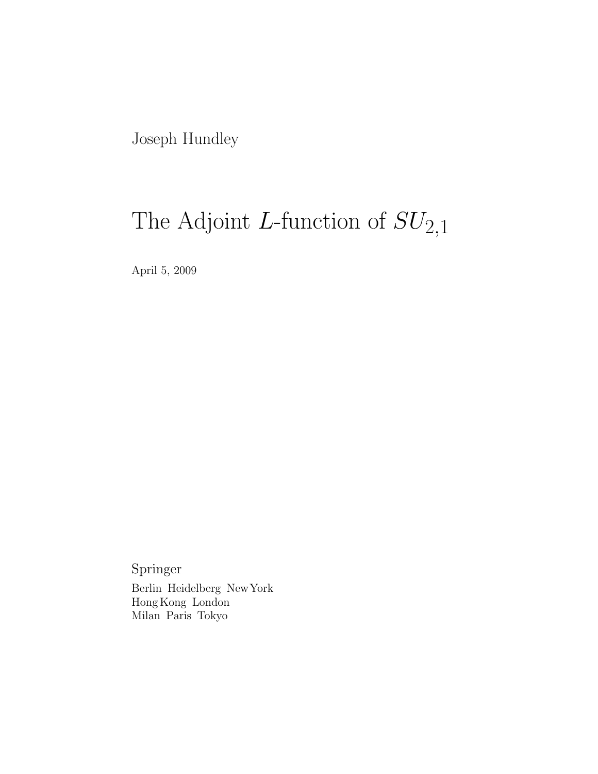Joseph Hundley

# The Adjoint L-function of  $SU_{2,1}$

April 5, 2009

Springer Berlin Heidelberg NewYork Hong Kong London Milan Paris Tokyo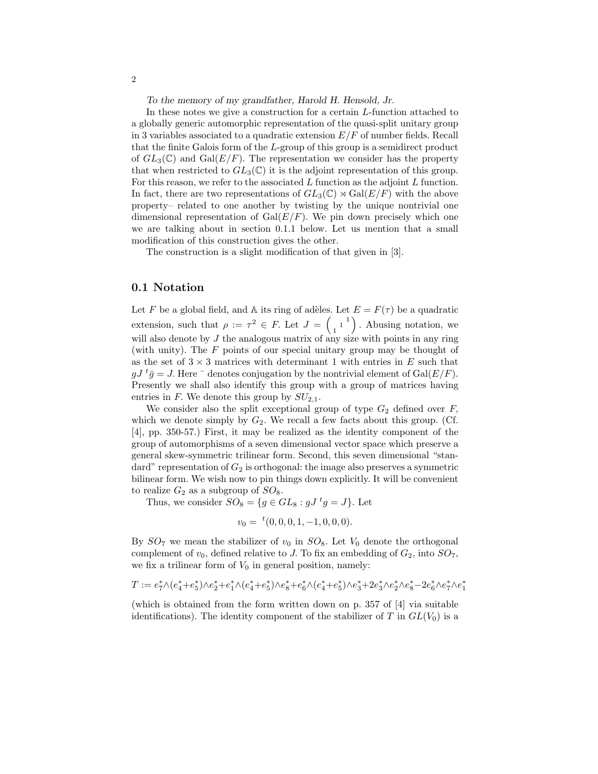To the memory of my grandfather, Harold H. Hensold, Jr.

In these notes we give a construction for a certain L-function attached to a globally generic automorphic representation of the quasi-split unitary group in 3 variables associated to a quadratic extension  $E/F$  of number fields. Recall that the finite Galois form of the L-group of this group is a semidirect product of  $GL_3(\mathbb{C})$  and  $Gal(E/F)$ . The representation we consider has the property that when restricted to  $GL_3(\mathbb{C})$  it is the adjoint representation of this group. For this reason, we refer to the associated  $L$  function as the adjoint  $L$  function. In fact, there are two representations of  $GL_3(\mathbb{C}) \rtimes Gal(E/F)$  with the above property– related to one another by twisting by the unique nontrivial one dimensional representation of  $Gal(E/F)$ . We pin down precisely which one we are talking about in section 0.1.1 below. Let us mention that a small modification of this construction gives the other.

The construction is a slight modification of that given in [3].

#### 0.1 Notation

Let F be a global field, and A its ring of adèles. Let  $E = F(\tau)$  be a quadratic extension, such that  $\rho := \tau^2 \in F$ . Let  $J = \begin{pmatrix} 1 \\ 1 \end{pmatrix}$  . Abusing notation, we will also denote by  $J$  the analogous matrix of any size with points in any ring (with unity). The F points of our special unitary group may be thought of as the set of  $3 \times 3$  matrices with determinant 1 with entries in E such that  $gJ \, {}^t\bar{g} = J$ . Here  ${}^-$  denotes conjugation by the nontrivial element of  $Gal(E/F)$ . Presently we shall also identify this group with a group of matrices having entries in F. We denote this group by  $SU_{2,1}$ .

We consider also the split exceptional group of type  $G_2$  defined over  $F$ , which we denote simply by  $G_2$ . We recall a few facts about this group. (Cf. [4], pp. 350-57.) First, it may be realized as the identity component of the group of automorphisms of a seven dimensional vector space which preserve a general skew-symmetric trilinear form. Second, this seven dimensional "standard" representation of  $G_2$  is orthogonal: the image also preserves a symmetric bilinear form. We wish now to pin things down explicitly. It will be convenient to realize  $G_2$  as a subgroup of  $SO_8$ .

Thus, we consider  $SO_8 = \{ g \in GL_8 : gJ^t g = J \}$ . Let

$$
v_0 = {}^{t}(0,0,0,1,-1,0,0,0).
$$

By  $SO_7$  we mean the stabilizer of  $v_0$  in  $SO_8$ . Let  $V_0$  denote the orthogonal complement of  $v_0$ , defined relative to J. To fix an embedding of  $G_2$ , into  $SO_7$ , we fix a trilinear form of  $V_0$  in general position, namely:

$$
T:=e_7^*\wedge(e_4^*+e_5^*)\wedge e_2^*+e_1^*\wedge(e_4^*+e_5^*)\wedge e_8^*+e_6^*\wedge(e_4^*+e_5^*)\wedge e_3^*+2e_3^*\wedge e_2^*\wedge e_8^*-2e_6^*\wedge e_7^*\wedge e_1^*
$$

(which is obtained from the form written down on p. 357 of [4] via suitable identifications). The identity component of the stabilizer of T in  $GL(V_0)$  is a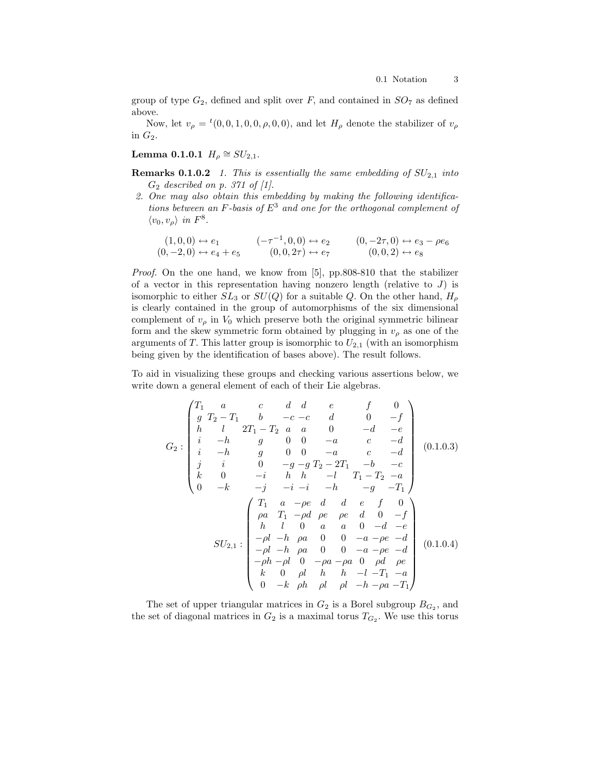group of type  $G_2$ , defined and split over F, and contained in  $SO_7$  as defined above.

Now, let  $v_{\rho} = {}^{t}(0, 0, 1, 0, 0, \rho, 0, 0)$ , and let  $H_{\rho}$  denote the stabilizer of  $v_{\rho}$ in  $G_2$ .

Lemma 0.1.0.1  $H_{\rho} \cong SU_{2,1}$ .

- **Remarks 0.1.0.2** 1. This is essentially the same embedding of  $SU_{2,1}$  into  $G_2$  described on p. 371 of [1].
- 2. One may also obtain this embedding by making the following identifications between an F-basis of  $E^3$  and one for the orthogonal complement of  $\langle v_0, v_\rho \rangle$  in  $F^8$ .

$$
(1,0,0) \leftrightarrow e_1 \qquad (-\tau^{-1},0,0) \leftrightarrow e_2 \qquad (0,-2\tau,0) \leftrightarrow e_3 - \rho e_6
$$
  

$$
(0,-2,0) \leftrightarrow e_4 + e_5 \qquad (0,0,2\tau) \leftrightarrow e_7 \qquad (0,0,2) \leftrightarrow e_8
$$

Proof. On the one hand, we know from [5], pp.808-810 that the stabilizer of a vector in this representation having nonzero length (relative to  $J$ ) is isomorphic to either  $SL_3$  or  $SU(Q)$  for a suitable Q. On the other hand,  $H_\rho$ is clearly contained in the group of automorphisms of the six dimensional complement of  $v_{\rho}$  in  $V_0$  which preserve both the original symmetric bilinear form and the skew symmetric form obtained by plugging in  $v_{\rho}$  as one of the arguments of T. This latter group is isomorphic to  $U_{2,1}$  (with an isomorphism being given by the identification of bases above). The result follows.

To aid in visualizing these groups and checking various assertions below, we write down a general element of each of their Lie algebras.

$$
G_2: \begin{pmatrix} T_1 & a & c & d & d & e & f & 0 \\ g & T_2 - T_1 & b & -c - c & d & 0 & -f \\ h & l & 2T_1 - T_2 & a & a & 0 & -d & -e \\ i & -h & g & 0 & 0 & -a & c & -d \\ j & i & 0 & -g - g & T_2 - 2T_1 & -b & -c \\ k & 0 & -i & h & h & -l & T_1 - T_2 & -a \\ 0 & -k & -j & -i & -i & -h & -g & -T_1 \end{pmatrix} (0.1.0.3)
$$
  

$$
= \begin{pmatrix} T_1 & a & -\rho e & d & d & e & f & 0 \\ \rho a & T_1 & -\rho d & \rho e & \rho e & d & 0 & -f \\ h & l & 0 & a & a & 0 & -d & -e \\ h & l & 0 & a & a & 0 & -d & -e \\ -\rho l & -h & \rho a & 0 & 0 & -a - \rho e & -d \\ -\rho l & -h & \rho a & 0 & 0 & -a & -\rho e & -d \\ -\rho h & -\rho l & 0 & -\rho a & -\rho a & 0 & \rho d & \rho e \\ k & 0 & \rho l & h & h & -l & -T_1 & -a \\ 0 & -k & \rho h & \rho l & \rho l & -h & -\rho a & -T_1 \end{pmatrix} (0.1.0.4)
$$

The set of upper triangular matrices in  $G_2$  is a Borel subgroup  $B_{G_2}$ , and the set of diagonal matrices in  $G_2$  is a maximal torus  $T_{G_2}$ . We use this torus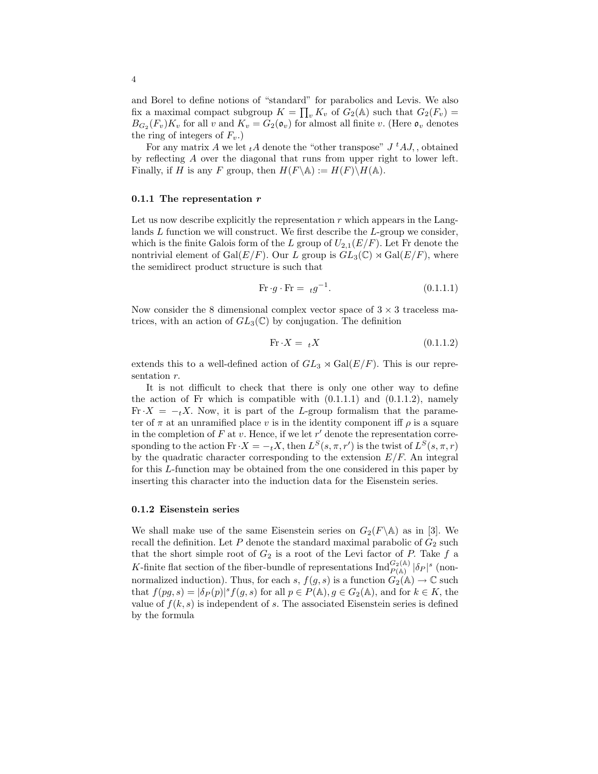and Borel to define notions of "standard" for parabolics and Levis. We also fix a maximal compact subgroup  $K = \prod_v K_v$  of  $G_2(\mathbb{A})$  such that  $G_2(F_v) =$  $B_{G_2}(F_v)K_v$  for all v and  $K_v = G_2(\mathfrak{o}_v)$  for almost all finite v. (Here  $\mathfrak{o}_v$  denotes the ring of integers of  $F_v$ .

For any matrix A we let  $_tA$  denote the "other transpose"  $J\,{}^tA J$ , obtained by reflecting A over the diagonal that runs from upper right to lower left. Finally, if H is any F group, then  $H(F \backslash \mathbb{A}) := H(F) \backslash H(\mathbb{A})$ .

#### 0.1.1 The representation  $r$

Let us now describe explicitly the representation  $r$  which appears in the Langlands  $L$  function we will construct. We first describe the  $L$ -group we consider, which is the finite Galois form of the L group of  $U_{2,1}(E/F)$ . Let Fr denote the nontrivial element of Gal( $E/F$ ). Our L group is  $GL_3(\mathbb{C}) \rtimes Gal(E/F)$ , where the semidirect product structure is such that

$$
\text{Fr} \cdot g \cdot \text{Fr} = \, t g^{-1}.\tag{0.1.1.1}
$$

Now consider the 8 dimensional complex vector space of  $3 \times 3$  traceless matrices, with an action of  $GL_3(\mathbb{C})$  by conjugation. The definition

$$
\text{Fr} \cdot X = {}_{t}X \tag{0.1.1.2}
$$

extends this to a well-defined action of  $GL_3 \rtimes Gal(E/F)$ . This is our representation  $r$ .

It is not difficult to check that there is only one other way to define the action of Fr which is compatible with  $(0.1.1.1)$  and  $(0.1.1.2)$ , namely Fr $\cdot X = -tX$ . Now, it is part of the L-group formalism that the parameter of  $\pi$  at an unramified place v is in the identity component iff  $\rho$  is a square in the completion of  $F$  at  $v$ . Hence, if we let  $r'$  denote the representation corresponding to the action  $\text{Fr} \cdot X = -_t X$ , then  $L^S(s, \pi, r')$  is the twist of  $L^S(s, \pi, r)$ by the quadratic character corresponding to the extension  $E/F$ . An integral for this L-function may be obtained from the one considered in this paper by inserting this character into the induction data for the Eisenstein series.

#### 0.1.2 Eisenstein series

We shall make use of the same Eisenstein series on  $G_2(F \backslash \mathbb{A})$  as in [3]. We recall the definition. Let  $P$  denote the standard maximal parabolic of  $G_2$  such that the short simple root of  $G_2$  is a root of the Levi factor of P. Take f a K-finite flat section of the fiber-bundle of representations  $\text{Ind}_{P(\mathbb{A})}^{G_2(\mathbb{A})} |\delta_P|^s$  (nonnormalized induction). Thus, for each s,  $f(g, s)$  is a function  $G_2(\mathbb{A}) \to \mathbb{C}$  such that  $f(pg, s) = |\delta_P(p)|^s f(g, s)$  for all  $p \in P(\mathbb{A}), g \in G_2(\mathbb{A})$ , and for  $k \in K$ , the value of  $f(k, s)$  is independent of s. The associated Eisenstein series is defined by the formula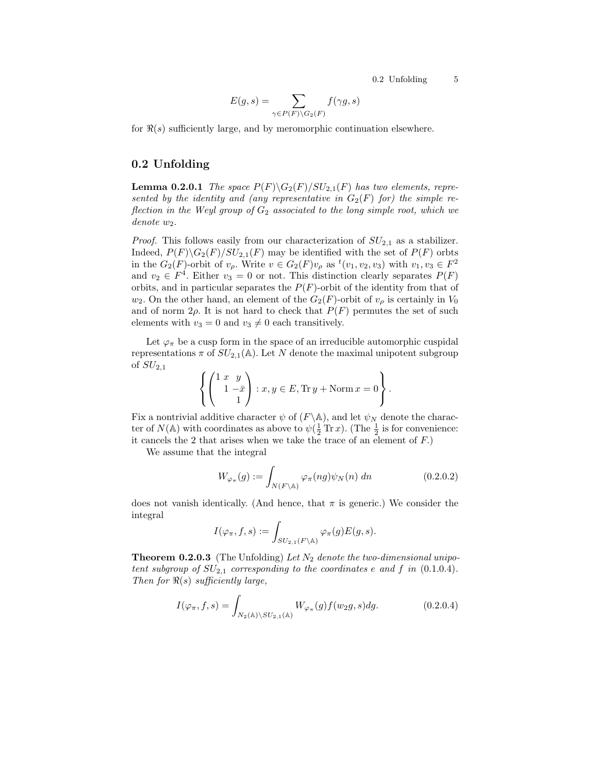$$
E(g, s) = \sum_{\gamma \in P(F) \backslash G_2(F)} f(\gamma g, s)
$$

for  $\Re(s)$  sufficiently large, and by meromorphic continuation elsewhere.

#### 0.2 Unfolding

**Lemma 0.2.0.1** The space  $P(F)\G_2(F)/SU_{2,1}(F)$  has two elements, represented by the identity and (any representative in  $G_2(F)$  for) the simple reflection in the Weyl group of  $G_2$  associated to the long simple root, which we  $denote$   $w_2$ .

*Proof.* This follows easily from our characterization of  $SU_{2,1}$  as a stabilizer. Indeed,  $P(F)\backslash G_2(F)/SU_{2,1}(F)$  may be identified with the set of  $P(F)$  orbts in the  $G_2(F)$ -orbit of  $v_\rho$ . Write  $v \in G_2(F)v_\rho$  as  ${}^t(v_1, v_2, v_3)$  with  $v_1, v_3 \in F^2$ and  $v_2 \in F^4$ . Either  $v_3 = 0$  or not. This distinction clearly separates  $P(F)$ orbits, and in particular separates the  $P(F)$ -orbit of the identity from that of  $w_2$ . On the other hand, an element of the  $G_2(F)$ -orbit of  $v_\rho$  is certainly in  $V_0$ and of norm  $2\rho$ . It is not hard to check that  $P(F)$  permutes the set of such elements with  $v_3 = 0$  and  $v_3 \neq 0$  each transitively.

Let  $\varphi_{\pi}$  be a cusp form in the space of an irreducible automorphic cuspidal representations  $\pi$  of  $SU_{2,1}(\mathbb{A})$ . Let N denote the maximal unipotent subgroup of  $SU_{2,1}$ 

$$
\left\{ \begin{pmatrix} 1 & x & y \\ 1 & -\bar{x} \\ & 1 \end{pmatrix} : x, y \in E, \text{Tr } y + \text{Norm } x = 0 \right\}.
$$

Fix a nontrivial additive character  $\psi$  of  $(F \backslash A)$ , and let  $\psi_N$  denote the character of  $N(\mathbb{A})$  with coordinates as above to  $\psi(\frac{1}{2}\operatorname{Tr} x)$ . (The  $\frac{1}{2}$  is for convenience: it cancels the 2 that arises when we take the trace of an element of  $F$ .)

We assume that the integral

$$
W_{\varphi_{\pi}}(g) := \int_{N(F \backslash \mathbb{A})} \varphi_{\pi}(ng) \psi_N(n) \, dn \tag{0.2.0.2}
$$

does not vanish identically. (And hence, that  $\pi$  is generic.) We consider the integral

$$
I(\varphi_{\pi}, f, s) := \int_{SU_{2,1}(F \backslash \mathbb{A})} \varphi_{\pi}(g) E(g, s).
$$

**Theorem 0.2.0.3** (The Unfolding) Let  $N_2$  denote the two-dimensional unipotent subgroup of  $SU_{2,1}$  corresponding to the coordinates e and f in (0.1.0.4). Then for  $\Re(s)$  sufficiently large,

$$
I(\varphi_{\pi}, f, s) = \int_{N_2(\mathbb{A}) \backslash SU_{2,1}(\mathbb{A})} W_{\varphi_{\pi}}(g) f(w_2 g, s) dg.
$$
 (0.2.0.4)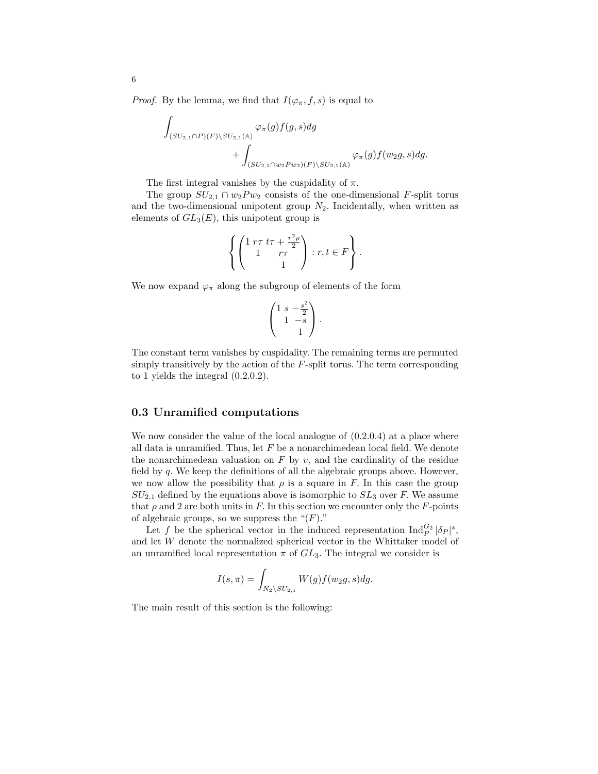*Proof.* By the lemma, we find that  $I(\varphi_{\pi}, f, s)$  is equal to

$$
\int_{(SU_{2,1}\cap P)(F)\backslash SU_{2,1}(\mathbb{A})}\varphi_{\pi}(g)f(g,s)dg
$$
  
+
$$
\int_{(SU_{2,1}\cap w_{2}Pw_{2})(F)\backslash SU_{2,1}(\mathbb{A})}\varphi_{\pi}(g)f(w_{2}g,s)dg.
$$

The first integral vanishes by the cuspidality of  $\pi$ .

The group  $SU_{2,1} \cap w_2 P w_2$  consists of the one-dimensional F-split torus and the two-dimensional unipotent group  $N_2$ . Incidentally, when written as elements of  $GL_3(E)$ , this unipotent group is

$$
\left\{ \begin{pmatrix} 1 & r\tau & t\tau + \frac{r^2 \rho}{2} \\ 1 & r\tau \\ & 1 \end{pmatrix} : r, t \in F \right\}.
$$

We now expand  $\varphi_{\pi}$  along the subgroup of elements of the form

$$
\begin{pmatrix} 1 & s & -\frac{s^2}{2} \\ 1 & -s & 1 \end{pmatrix}.
$$

The constant term vanishes by cuspidality. The remaining terms are permuted simply transitively by the action of the  $F$ -split torus. The term corresponding to 1 yields the integral (0.2.0.2).

#### 0.3 Unramified computations

We now consider the value of the local analogue of  $(0.2.0.4)$  at a place where all data is unramified. Thus, let  $F$  be a nonarchimedean local field. We denote the nonarchimedean valuation on  $F$  by  $v$ , and the cardinality of the residue field by  $q$ . We keep the definitions of all the algebraic groups above. However, we now allow the possibility that  $\rho$  is a square in F. In this case the group  $SU_{2,1}$  defined by the equations above is isomorphic to  $SL_3$  over F. We assume that  $\rho$  and 2 are both units in F. In this section we encounter only the F-points of algebraic groups, so we suppress the " $(F)$ ."

Let f be the spherical vector in the induced representation  $\text{Ind}_{P}^{G_2} |\delta_P|^s$ , and let W denote the normalized spherical vector in the Whittaker model of an unramified local representation  $\pi$  of  $GL_3$ . The integral we consider is

$$
I(s,\pi)=\int_{N_2\setminus SU_{2,1}}W(g)f(w_2g,s)dg.
$$

The main result of this section is the following: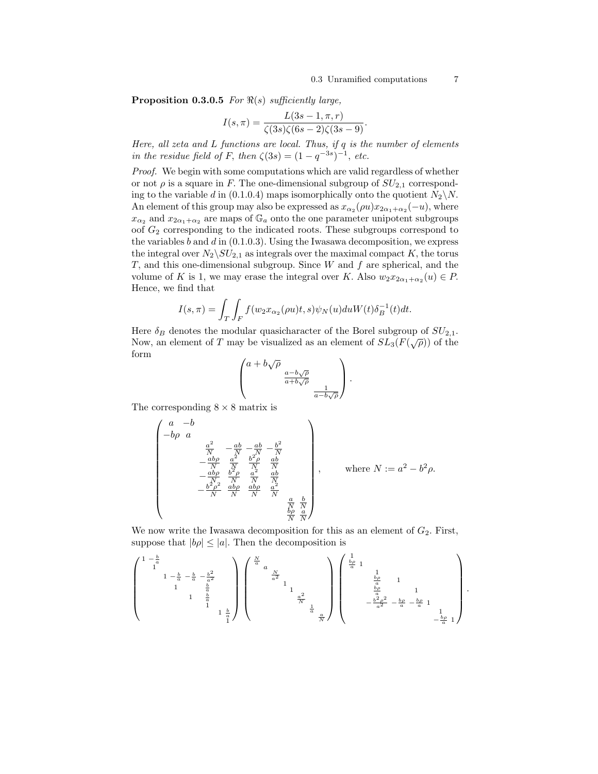**Proposition 0.3.0.5** For  $\Re(s)$  sufficiently large,

$$
I(s,\pi) = \frac{L(3s - 1, \pi, r)}{\zeta(3s)\zeta(6s - 2)\zeta(3s - 9)}.
$$

Here, all zeta and L functions are local. Thus, if q is the number of elements in the residue field of F, then  $\zeta(3s) = (1 - q^{-3s})^{-1}$ , etc.

Proof. We begin with some computations which are valid regardless of whether or not  $\rho$  is a square in F. The one-dimensional subgroup of  $SU_{2,1}$  corresponding to the variable d in (0.1.0.4) maps isomorphically onto the quotient  $N_2 \backslash N$ . An element of this group may also be expressed as  $x_{\alpha_2}(\rho u)x_{2\alpha_1+\alpha_2}(-u)$ , where  $x_{\alpha_2}$  and  $x_{2\alpha_1+\alpha_2}$  are maps of  $\mathbb{G}_a$  onto the one parameter unipotent subgroups oof  $G_2$  corresponding to the indicated roots. These subgroups correspond to the variables  $b$  and  $d$  in  $(0.1.0.3)$ . Using the Iwasawa decomposition, we express the integral over  $N_2 \backslash SU_{2,1}$  as integrals over the maximal compact K, the torus T, and this one-dimensional subgroup. Since  $W$  and  $f$  are spherical, and the volume of K is 1, we may erase the integral over K. Also  $w_2 x_{2\alpha_1+\alpha_2}(u) \in P$ . Hence, we find that

$$
I(s,\pi) = \int_T \int_F f(w_2 x_{\alpha_2}(\rho u)t, s)\psi_N(u)duW(t)\delta_B^{-1}(t)dt.
$$

Here  $\delta_B$  denotes the modular quasicharacter of the Borel subgroup of  $SU_{2,1}$ . Now, an element of T may be visualized as an element of  $SL_3(F(\sqrt{\rho}))$  of the form

$$
\begin{pmatrix} a+b\sqrt{\rho} & & \\ & \frac{a-b\sqrt{\rho}}{a+b\sqrt{\rho}} & \\ & & \frac{1}{a-b\sqrt{\rho}} \end{pmatrix}.
$$

The corresponding  $8 \times 8$  matrix is

$$
\begin{pmatrix}\n a & -b & & & & \\
-b\rho & a & & & & \\
& \frac{a^2}{N} & -\frac{ab}{N} & -\frac{ab}{N} & \\
& -\frac{ab\rho}{N} & \frac{a^2}{N} & \frac{b^2\rho}{N} & \frac{ab}{N} \\
& -\frac{ab\rho}{N} & \frac{b^2\rho}{N} & \frac{a^2}{N} & \frac{ab}{N} \\
& -\frac{b^2\rho^2}{N} & \frac{ab\rho}{N} & \frac{a^2}{N} & \frac{b}{N} \\
& & \frac{b^2\rho}{N} & \frac{a}{N} & \frac{a}{N} & \frac{b}{N} \\
& & & \frac{ba}{N} & \frac{a}{N}\n\end{pmatrix}, \text{ where } N := a^2 - b^2\rho.
$$

We now write the Iwasawa decomposition for this as an element of  $G_2$ . First, suppose that  $|b\rho| \leq |a|$ . Then the decomposition is

$$
\begin{pmatrix} 1-\frac{b}{a} & & & & & \\ & 1 & & & & & \\ & & 1-\frac{b}{a} & -\frac{b}{a} & -\frac{b^2}{a^2} & & \\ & & 1 & \frac{b}{a} & & & \\ & & & & 1 & \frac{b}{a} & \\ & & & & & & 1 \end{pmatrix} \begin{pmatrix} \frac{N}{a} & & & & & & \\ & a & & & & & & \\ & & \frac{N}{a^2} & & & & \\ & & & 1 & & & & \\ & & & & & 1 & & \\ & & & & & & \frac{a^2}{N} & \\ & & & & & & & \frac{a}{N} \end{pmatrix} \begin{pmatrix} \frac{1}{b\rho} & 1 & & & & & & \\ & \frac{b\rho}{a} & 1 & & & & & \\ & & \frac{b\rho}{a} & 1 & & & & \\ & & & \frac{b\rho}{a} & 1 & & & \\ & & & & & & \frac{b\rho}{a} & 1 \\ & & & & & & & -\frac{b^2\rho^2}{a} & -\frac{b\rho}{a} & 1 \\ & & & & & & & -\frac{b\rho}{a} & 1 \end{pmatrix}.
$$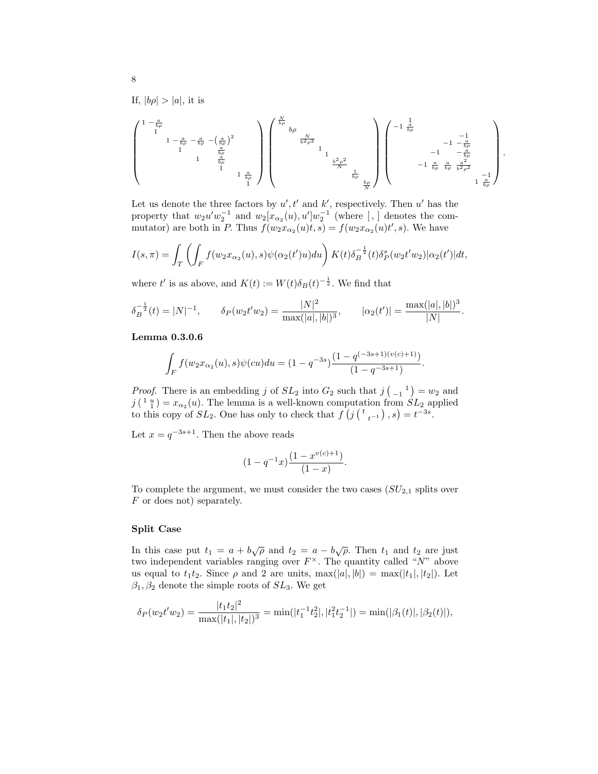If,  $|b\rho| > |a|$ , it is

$$
\begin{pmatrix} 1-\frac{a}{b\rho} & & & & & \\ & 1 & & & & & \\ & & 1-\frac{a}{b\rho} & -\frac{a}{b\rho} & -\left(\frac{a}{b\rho}\right)^2 \\ & & & 1 & \frac{a}{b\rho} & & \\ & & & & 1 & \frac{a}{b\rho} & \\ & & & & & 1 & \frac{a}{b\rho} \\ & & & & & & 1 \end{pmatrix} \begin{pmatrix} \frac{N}{b\rho} & & & & & \\ & b\rho & & & & & \\ & & & \frac{N}{b\rho} & & & \\ & & & & 1 & & \\ & & & & & 1 & \\ & & & & & \frac{b^2\rho^2}{N} & \\ & & & & & & \frac{b^2\rho^2}{N} \\ & & & & & & \frac{b}{b\rho} & \\ & & & & & & \frac{b\rho}{N} \end{pmatrix} \begin{pmatrix} -1 & \frac{1}{b\rho} & & & & & \\ & & -1 & -\frac{a}{b\rho} & & & \\ & & -1 & -\frac{a}{b\rho} & & \\ & & & -1 & -\frac{a}{b\rho} & \\ & & & & -1 & \frac{a}{b\rho} & \frac{a}{b^2\rho^2} \\ & & & & & & 1 \end{pmatrix}.
$$

Let us denote the three factors by  $u', t'$  and  $k'$ , respectively. Then  $u'$  has the property that  $w_2u'w_2^{-1}$  and  $w_2[x_{\alpha_2}(u), u']w_2^{-1}$  (where [,] denotes the commutator) are both in P. Thus  $f(w_2 x_{\alpha_2}(u)t, s) = f(w_2 x_{\alpha_2}(u)t', s)$ . We have

$$
I(s,\pi) = \int_T \left( \int_F f(w_2 x_{\alpha_2}(u), s) \psi(\alpha_2(t')) u \right) K(t) \delta_B^{-\frac{1}{2}}(t) \delta_P^s(w_2(t'w_2) | \alpha_2(t') | dt,
$$

where t' is as above, and  $K(t) := W(t)\delta_B(t)^{-\frac{1}{2}}$ . We find that

$$
\delta_B^{-\frac{1}{2}}(t) = |N|^{-1}, \qquad \delta_P(w_2 t' w_2) = \frac{|N|^2}{\max(|a|, |b|)^3}, \qquad |\alpha_2(t')| = \frac{\max(|a|, |b|)^3}{|N|}.
$$

#### Lemma 0.3.0.6

$$
\int_{F} f(w_2 x_{\alpha_2}(u), s) \psi(cu) du = (1 - q^{-3s}) \frac{(1 - q^{(-3s+1)(v(c)+1)})}{(1 - q^{-3s+1})}.
$$

*Proof.* There is an embedding j of  $SL_2$  into  $G_2$  such that  $j\begin{pmatrix} 1 \ -1 \end{pmatrix} = w_2$  and  $j\left(\begin{smallmatrix} 1 & u \\ 1 & 1 \end{smallmatrix}\right) = x_{\alpha_2}(u)$ . The lemma is a well-known computation from  $SL_2$  applied to this copy of  $SL_2$ . One has only to check that  $f\left(j\left(\begin{array}{cc} t & 0 \\ t^{-1}\end{array}\right),s\right) = t^{-3s}$ .

Let  $x = q^{-3s+1}$ . Then the above reads

$$
(1-q^{-1}x)\frac{(1-x^{v(c)+1})}{(1-x)}.
$$

To complete the argument, we must consider the two cases  $(SU_{2,1}$  splits over  $F$  or does not) separately.

#### Split Case

In this case put  $t_1 = a + b\sqrt{\rho}$  and  $t_2 = a - b\sqrt{\rho}$ . Then  $t_1$  and  $t_2$  are just two independent variables ranging over  $F^{\times}$ . The quantity called "N" above us equal to  $t_1t_2$ . Since  $\rho$  and 2 are units,  $\max(|a|, |b|) = \max(|t_1|, |t_2|)$ . Let  $\beta_1, \beta_2$  denote the simple roots of  $SL_3$ . We get

$$
\delta_P(w_2t'w_2) = \frac{|t_1t_2|^2}{\max(|t_1|, |t_2|)^3} = \min(|t_1^{-1}t_2^2|, |t_1^2t_2^{-1}|) = \min(|\beta_1(t)|, |\beta_2(t)|),
$$

8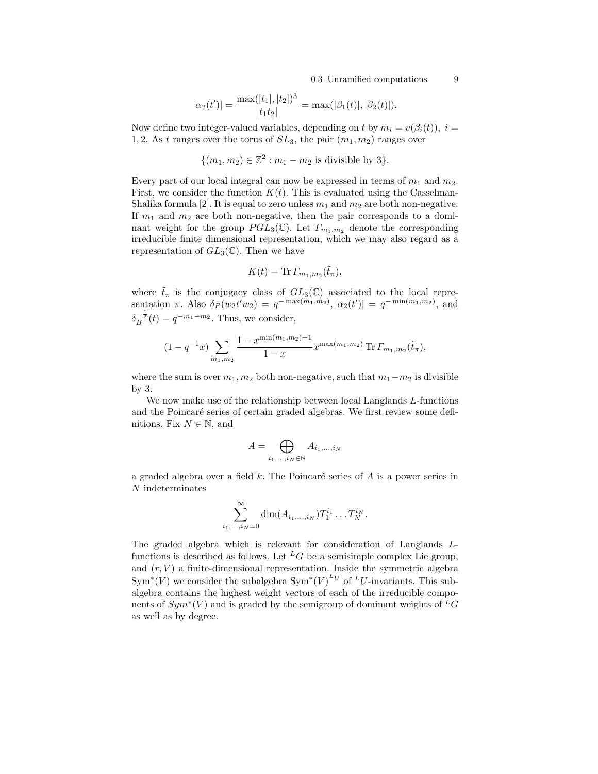$$
|\alpha_2(t')| = \frac{\max(|t_1|, |t_2|)^3}{|t_1 t_2|} = \max(|\beta_1(t)|, |\beta_2(t)|).
$$

Now define two integer-valued variables, depending on t by  $m_i = v(\beta_i(t)), i =$ 1, 2. As t ranges over the torus of  $SL_3$ , the pair  $(m_1, m_2)$  ranges over

 $\{(m_1, m_2) \in \mathbb{Z}^2 : m_1 - m_2 \text{ is divisible by } 3\}.$ 

Every part of our local integral can now be expressed in terms of  $m_1$  and  $m_2$ . First, we consider the function  $K(t)$ . This is evaluated using the Casselman-Shalika formula [2]. It is equal to zero unless  $m_1$  and  $m_2$  are both non-negative. If  $m_1$  and  $m_2$  are both non-negative, then the pair corresponds to a dominant weight for the group  $PGL_3(\mathbb{C})$ . Let  $\Gamma_{m_1,m_2}$  denote the corresponding irreducible finite dimensional representation, which we may also regard as a representation of  $GL_3(\mathbb{C})$ . Then we have

$$
K(t) = \text{Tr}\,\Gamma_{m_1,m_2}(\tilde{t}_\pi),
$$

where  $\tilde{t}_{\pi}$  is the conjugacy class of  $GL_3(\mathbb{C})$  associated to the local representation  $\pi$ . Also  $\delta_P(w_2 t' w_2) = q^{-\max(m_1, m_2)}, |\alpha_2(t')| = q^{-\min(m_1, m_2)},$  and  $\delta_B^{-\frac{1}{2}}(t) = q^{-m_1 - m_2}$ . Thus, we consider,

$$
(1 - q^{-1}x) \sum_{m_1, m_2} \frac{1 - x^{\min(m_1, m_2) + 1}}{1 - x} x^{\max(m_1, m_2)} \operatorname{Tr} \Gamma_{m_1, m_2}(\tilde{t}_{\pi}),
$$

where the sum is over  $m_1, m_2$  both non-negative, such that  $m_1 - m_2$  is divisible by 3.

We now make use of the relationship between local Langlands  $L$ -functions and the Poincaré series of certain graded algebras. We first review some definitions. Fix  $N \in \mathbb{N}$ , and

$$
A = \bigoplus_{i_1, \dots, i_N \in \mathbb{N}} A_{i_1, \dots, i_N}
$$

a graded algebra over a field k. The Poincaré series of  $A$  is a power series in N indeterminates

$$
\sum_{i_1,\dots,i_N=0}^{\infty} \dim(A_{i_1,\dots,i_N}) T_1^{i_1} \dots T_N^{i_N}.
$$

The graded algebra which is relevant for consideration of Langlands Lfunctions is described as follows. Let <sup>L</sup>G be a semisimple complex Lie group, and  $(r, V)$  a finite-dimensional representation. Inside the symmetric algebra  $\text{Sym}^*(V)$  we consider the subalgebra  $\text{Sym}^*(V)$ <sup>LU</sup> of <sup>L</sup>U-invariants. This subalgebra contains the highest weight vectors of each of the irreducible components of  $Sym^*(V)$  and is graded by the semigroup of dominant weights of  ${}^L G$ as well as by degree.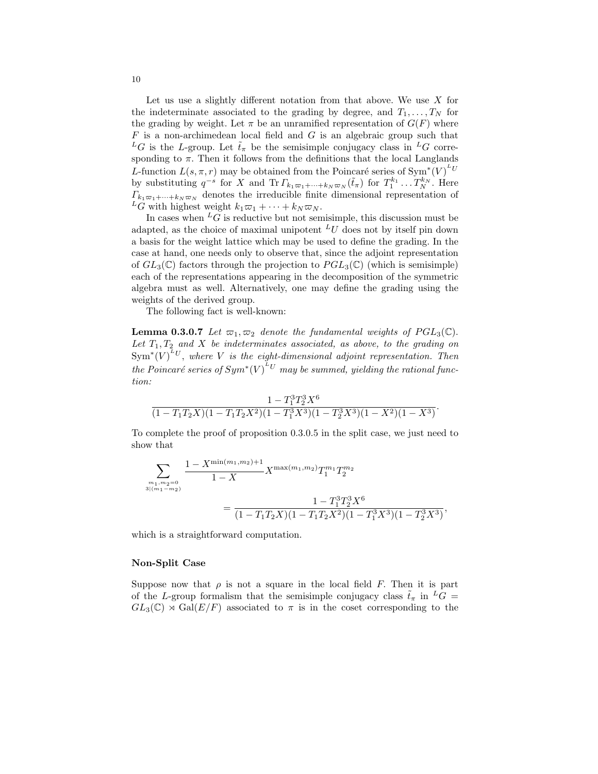Let us use a slightly different notation from that above. We use  $X$  for the indeterminate associated to the grading by degree, and  $T_1, \ldots, T_N$  for the grading by weight. Let  $\pi$  be an unramified representation of  $G(F)$  where  $F$  is a non-archimedean local field and  $G$  is an algebraic group such that <sup>L</sup>G is the L-group. Let  $\tilde{t}_{\pi}$  be the semisimple conjugacy class in <sup>L</sup>G corresponding to  $\pi$ . Then it follows from the definitions that the local Langlands L-function  $L(s, \pi, r)$  may be obtained from the Poincaré series of Sym<sup>\*</sup> $(V)^{^L}$ by substituting  $q^{-s}$  for X and  $\text{Tr } \Gamma_{k_1 \varpi_1 + \cdots + k_N \varpi_N}(\tilde{t}_{\pi})$  for  $T_1^{k_1} \ldots T_N^{k_N}$ . Here  $\Gamma_{k_1,\varpi_1+\cdots+k_N,\varpi_N}$  denotes the irreducible finite dimensional representation of  $L_G^{n_1 \omega_1 + \cdots + \omega_N \omega_N}$  weight  $k_1 \omega_1 + \cdots + k_N \omega_N$ .

In cases when  ${}^L G$  is reductive but not semisimple, this discussion must be adapted, as the choice of maximal unipotent  $^L U$  does not by itself pin down a basis for the weight lattice which may be used to define the grading. In the case at hand, one needs only to observe that, since the adjoint representation of  $GL_3(\mathbb{C})$  factors through the projection to  $PGL_3(\mathbb{C})$  (which is semisimple) each of the representations appearing in the decomposition of the symmetric algebra must as well. Alternatively, one may define the grading using the weights of the derived group.

The following fact is well-known:

**Lemma 0.3.0.7** Let  $\varpi_1, \varpi_2$  denote the fundamental weights of  $PGL_3(\mathbb{C})$ . Let  $T_1, T_2$  and X be indeterminates associated, as above, to the grading on  $\text{Sym}^*(V)^{^LU},$  where V is the eight-dimensional adjoint representation. Then the Poincaré series of  $Sym^*(V)^{^LU}$  may be summed, yielding the rational function:

$$
\frac{1-T_1^3T_2^3X^6}{(1-T_1T_2X)(1-T_1T_2X^2)(1-T_1^3X^3)(1-T_2^3X^3)(1-X^2)(1-X^3)}.
$$

To complete the proof of proposition 0.3.0.5 in the split case, we just need to show that

$$
\sum_{\substack{m_1,m_2=0 \ 3|(m_1-m_2)}} \frac{1-X^{\min(m_1,m_2)+1}}{1-X} X^{\max(m_1,m_2)} T_1^{m_1} T_2^{m_2}
$$
  
= 
$$
\frac{1-T_1^3 T_2^3 X^6}{(1-T_1T_2X)(1-T_1T_2X^2)(1-T_1^3X^3)(1-T_2^3X^3)},
$$

which is a straightforward computation.

#### Non-Split Case

Suppose now that  $\rho$  is not a square in the local field F. Then it is part of the L-group formalism that the semisimple conjugacy class  $\tilde{t}_{\pi}$  in  ${}^L G =$  $GL_3(\mathbb{C}) \rtimes Gal(E/F)$  associated to  $\pi$  is in the coset corresponding to the

10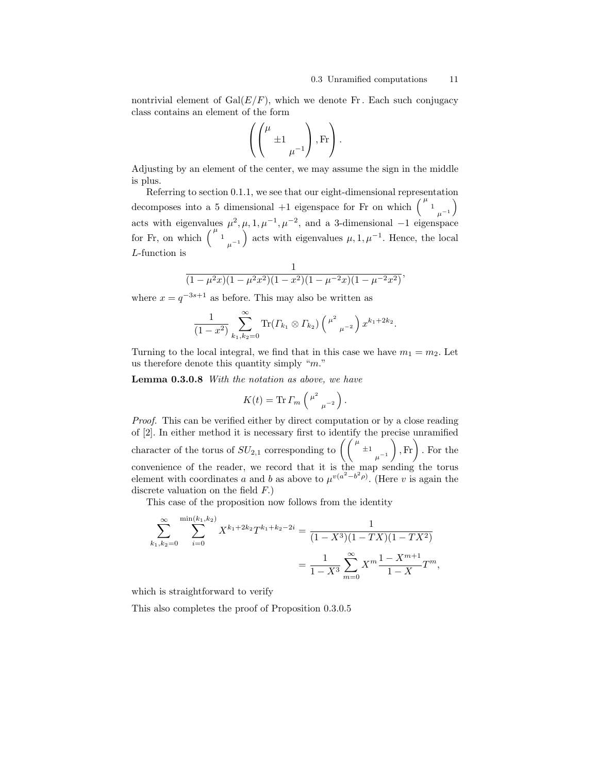nontrivial element of  $Gal(E/F)$ , which we denote Fr. Each such conjugacy class contains an element of the form

$$
\left( \left( \begin{matrix} \mu & \\ & \pm 1 & \\ & & \mu^{-1} \end{matrix} \right), \text{Fr} \right).
$$

Adjusting by an element of the center, we may assume the sign in the middle is plus.

Referring to section 0.1.1, we see that our eight-dimensional representation decomposes into a 5 dimensional +1 eigenspace for Fr on which  $\binom{\mu_1}{\mu_1}$ acts with eigenvalues  $\mu^2$ ,  $\mu$ ,  $1, \mu^{-1}$ ,  $\mu^{-2}$ , and a 3-dimensional  $-1$  eigenspace for Fr, on which  $\binom{\mu}{1}$   $\mu^{-1}$  acts with eigenvalues  $\mu, 1, \mu^{-1}$ . Hence, the local L-function is

$$
\frac{1}{(1-\mu^2x)(1-\mu^2x^2)(1-x^2)(1-\mu^{-2}x)(1-\mu^{-2}x^2)},
$$

where  $x = q^{-3s+1}$  as before. This may also be written as

$$
\frac{1}{(1-x^2)}\sum_{k_1,k_2=0}^{\infty} \text{Tr}( \Gamma_{k_1} \otimes \Gamma_{k_2}) \left(\begin{array}{c} \mu^2 \\ \mu^{-2} \end{array}\right) x^{k_1+2k_2}.
$$

Turning to the local integral, we find that in this case we have  $m_1 = m_2$ . Let us therefore denote this quantity simply " $m$ ."

Lemma 0.3.0.8 With the notation as above, we have

$$
K(t) = \text{Tr}\, \varGamma_m \left( \begin{smallmatrix} \mu^2 & \\ & \mu^{-2} \end{smallmatrix} \right).
$$

Proof. This can be verified either by direct computation or by a close reading of [2]. In either method it is necessary first to identify the precise unramified character of the torus of  $SU_{2,1}$  corresponding to  $\left(\int_{1}^{\mu} \pm 1\right)$  $\mu^{-1}$  $\Big)$ , Fr $\Big)$ . For the convenience of the reader, we record that it is the map sending the torus element with coordinates a and b as above to  $\mu^{v(a^2-b^2\rho)}$ . (Here v is again the discrete valuation on the field  $F$ .)

This case of the proposition now follows from the identity

$$
\sum_{k_1, k_2=0}^{\infty} \sum_{i=0}^{\min(k_1, k_2)} X^{k_1 + 2k_2} T^{k_1 + k_2 - 2i} = \frac{1}{(1 - X^3)(1 - TX)(1 - TX^2)}
$$

$$
= \frac{1}{1 - X^3} \sum_{m=0}^{\infty} X^m \frac{1 - X^{m+1}}{1 - X} T^m,
$$

which is straightforward to verify

This also completes the proof of Proposition 0.3.0.5